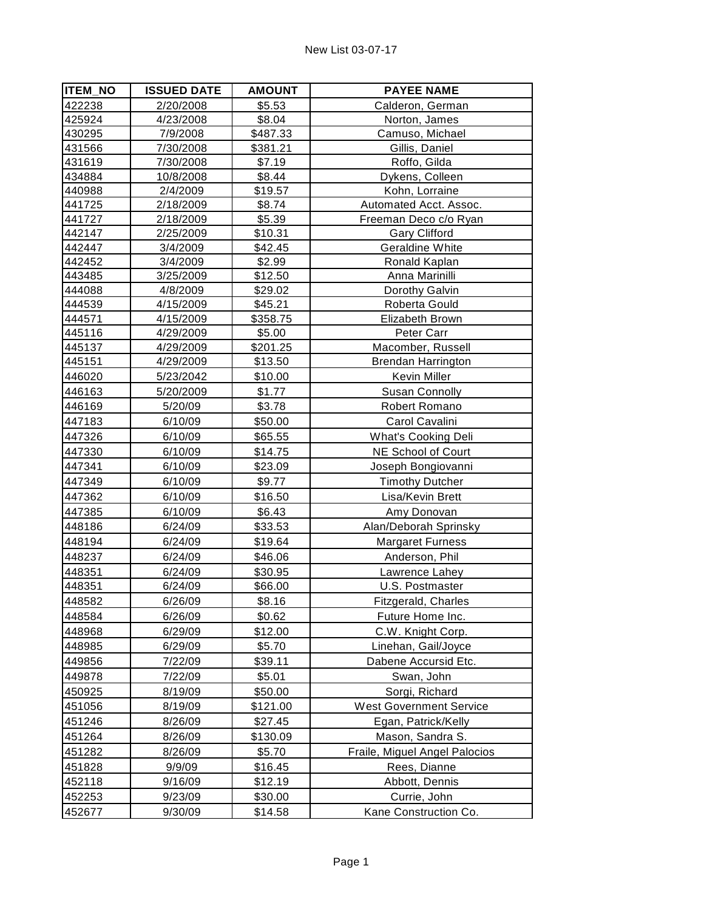| <b>ITEM_NO</b> | <b>ISSUED DATE</b> | <b>AMOUNT</b> | <b>PAYEE NAME</b>              |
|----------------|--------------------|---------------|--------------------------------|
| 422238         | 2/20/2008          | \$5.53        | Calderon, German               |
| 425924         | 4/23/2008          | \$8.04        | Norton, James                  |
| 430295         | 7/9/2008           | \$487.33      | Camuso, Michael                |
| 431566         | 7/30/2008          | \$381.21      | Gillis, Daniel                 |
| 431619         | 7/30/2008          | \$7.19        | Roffo, Gilda                   |
| 434884         | 10/8/2008          | \$8.44        | Dykens, Colleen                |
| 440988         | 2/4/2009           | \$19.57       | Kohn, Lorraine                 |
| 441725         | 2/18/2009          | \$8.74        | Automated Acct. Assoc.         |
| 441727         | 2/18/2009          | \$5.39        | Freeman Deco c/o Ryan          |
| 442147         | 2/25/2009          | \$10.31       | <b>Gary Clifford</b>           |
| 442447         | 3/4/2009           | \$42.45       | <b>Geraldine White</b>         |
| 442452         | 3/4/2009           | \$2.99        | Ronald Kaplan                  |
| 443485         | 3/25/2009          | \$12.50       | Anna Marinilli                 |
| 444088         | 4/8/2009           | \$29.02       | Dorothy Galvin                 |
| 444539         | 4/15/2009          | \$45.21       | Roberta Gould                  |
| 444571         | 4/15/2009          | \$358.75      | Elizabeth Brown                |
| 445116         | 4/29/2009          | \$5.00        | Peter Carr                     |
| 445137         | 4/29/2009          | \$201.25      | Macomber, Russell              |
| 445151         | 4/29/2009          | \$13.50       | <b>Brendan Harrington</b>      |
| 446020         | 5/23/2042          | \$10.00       | Kevin Miller                   |
| 446163         | 5/20/2009          | \$1.77        | <b>Susan Connolly</b>          |
| 446169         | 5/20/09            | \$3.78        | Robert Romano                  |
| 447183         | 6/10/09            | \$50.00       | Carol Cavalini                 |
| 447326         | 6/10/09            | \$65.55       | <b>What's Cooking Deli</b>     |
| 447330         | 6/10/09            | \$14.75       | NE School of Court             |
| 447341         | 6/10/09            | \$23.09       | Joseph Bongiovanni             |
| 447349         | 6/10/09            | \$9.77        | <b>Timothy Dutcher</b>         |
| 447362         | 6/10/09            | \$16.50       | Lisa/Kevin Brett               |
| 447385         | 6/10/09            | \$6.43        | Amy Donovan                    |
| 448186         | 6/24/09            | \$33.53       | Alan/Deborah Sprinsky          |
| 448194         | 6/24/09            | \$19.64       | <b>Margaret Furness</b>        |
| 448237         | 6/24/09            | \$46.06       | Anderson, Phil                 |
| 448351         | 6/24/09            | \$30.95       | Lawrence Lahey                 |
| 448351         | 6/24/09            | \$66.00       | U.S. Postmaster                |
| 448582         | 6/26/09            | \$8.16        | Fitzgerald, Charles            |
| 448584         | 6/26/09            | \$0.62        | Future Home Inc.               |
| 448968         | 6/29/09            | \$12.00       | C.W. Knight Corp.              |
| 448985         | 6/29/09            | \$5.70        | Linehan, Gail/Joyce            |
| 449856         | 7/22/09            | \$39.11       | Dabene Accursid Etc.           |
| 449878         | 7/22/09            | \$5.01        | Swan, John                     |
|                |                    |               |                                |
| 450925         | 8/19/09            | \$50.00       | Sorgi, Richard                 |
| 451056         | 8/19/09            | \$121.00      | <b>West Government Service</b> |
| 451246         | 8/26/09            | \$27.45       | Egan, Patrick/Kelly            |
| 451264         | 8/26/09            | \$130.09      | Mason, Sandra S.               |
| 451282         | 8/26/09            | \$5.70        | Fraile, Miguel Angel Palocios  |
| 451828         | 9/9/09             | \$16.45       | Rees, Dianne                   |
| 452118         | 9/16/09            | \$12.19       | Abbott, Dennis                 |
| 452253         | 9/23/09            | \$30.00       | Currie, John                   |
| 452677         | 9/30/09            | \$14.58       | Kane Construction Co.          |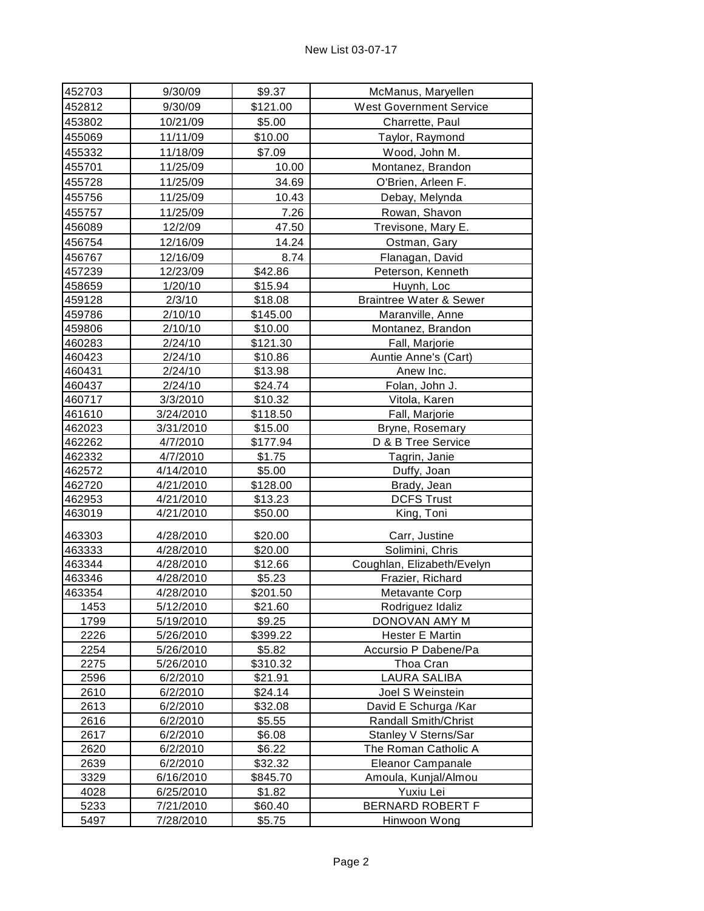| 452703 | 9/30/09   | \$9.37   | McManus, Maryellen                 |
|--------|-----------|----------|------------------------------------|
| 452812 | 9/30/09   | \$121.00 | <b>West Government Service</b>     |
| 453802 | 10/21/09  | \$5.00   | Charrette, Paul                    |
| 455069 | 11/11/09  | \$10.00  | Taylor, Raymond                    |
| 455332 | 11/18/09  | \$7.09   | Wood, John M.                      |
| 455701 | 11/25/09  | 10.00    | Montanez, Brandon                  |
| 455728 | 11/25/09  | 34.69    | O'Brien, Arleen F.                 |
| 455756 | 11/25/09  | 10.43    | Debay, Melynda                     |
| 455757 | 11/25/09  | 7.26     | Rowan, Shavon                      |
| 456089 | 12/2/09   | 47.50    | Trevisone, Mary E.                 |
| 456754 | 12/16/09  | 14.24    | Ostman, Gary                       |
| 456767 | 12/16/09  | 8.74     | Flanagan, David                    |
| 457239 | 12/23/09  | \$42.86  | Peterson, Kenneth                  |
| 458659 | 1/20/10   | \$15.94  | Huynh, Loc                         |
| 459128 | 2/3/10    | \$18.08  | <b>Braintree Water &amp; Sewer</b> |
| 459786 | 2/10/10   | \$145.00 | Maranville, Anne                   |
| 459806 | 2/10/10   | \$10.00  | Montanez, Brandon                  |
| 460283 | 2/24/10   | \$121.30 | Fall, Marjorie                     |
| 460423 | 2/24/10   | \$10.86  | Auntie Anne's (Cart)               |
| 460431 | 2/24/10   | \$13.98  | Anew Inc.                          |
| 460437 | 2/24/10   | \$24.74  | Folan, John J.                     |
| 460717 | 3/3/2010  | \$10.32  | Vitola, Karen                      |
| 461610 | 3/24/2010 | \$118.50 | Fall, Marjorie                     |
| 462023 | 3/31/2010 | \$15.00  | Bryne, Rosemary                    |
| 462262 | 4/7/2010  | \$177.94 | D & B Tree Service                 |
| 462332 | 4/7/2010  | \$1.75   | Tagrin, Janie                      |
| 462572 | 4/14/2010 | \$5.00   | Duffy, Joan                        |
| 462720 | 4/21/2010 | \$128.00 | Brady, Jean                        |
| 462953 | 4/21/2010 | \$13.23  | <b>DCFS Trust</b>                  |
| 463019 | 4/21/2010 | \$50.00  | King, Toni                         |
| 463303 | 4/28/2010 | \$20.00  | Carr, Justine                      |
| 463333 | 4/28/2010 | \$20.00  | Solimini, Chris                    |
| 463344 | 4/28/2010 | \$12.66  | Coughlan, Elizabeth/Evelyn         |
| 463346 | 4/28/2010 | \$5.23   | Frazier, Richard                   |
| 463354 | 4/28/2010 | \$201.50 | Metavante Corp                     |
| 1453   | 5/12/2010 | \$21.60  | Rodriguez Idaliz                   |
| 1799   | 5/19/2010 | \$9.25   | DONOVAN AMY M                      |
| 2226   | 5/26/2010 | \$399.22 | Hester E Martin                    |
| 2254   | 5/26/2010 | \$5.82   | Accursio P Dabene/Pa               |
| 2275   | 5/26/2010 | \$310.32 | Thoa Cran                          |
| 2596   | 6/2/2010  | \$21.91  | LAURA SALIBA                       |
| 2610   | 6/2/2010  | \$24.14  | Joel S Weinstein                   |
| 2613   | 6/2/2010  | \$32.08  | David E Schurga /Kar               |
| 2616   | 6/2/2010  | \$5.55   | <b>Randall Smith/Christ</b>        |
| 2617   | 6/2/2010  | \$6.08   | Stanley V Sterns/Sar               |
| 2620   | 6/2/2010  | \$6.22   | The Roman Catholic A               |
| 2639   | 6/2/2010  | \$32.32  | Eleanor Campanale                  |
| 3329   | 6/16/2010 | \$845.70 | Amoula, Kunjal/Almou               |
| 4028   | 6/25/2010 | \$1.82   | Yuxiu Lei                          |
| 5233   | 7/21/2010 | \$60.40  | BERNARD ROBERT F                   |
| 5497   | 7/28/2010 | \$5.75   | Hinwoon Wong                       |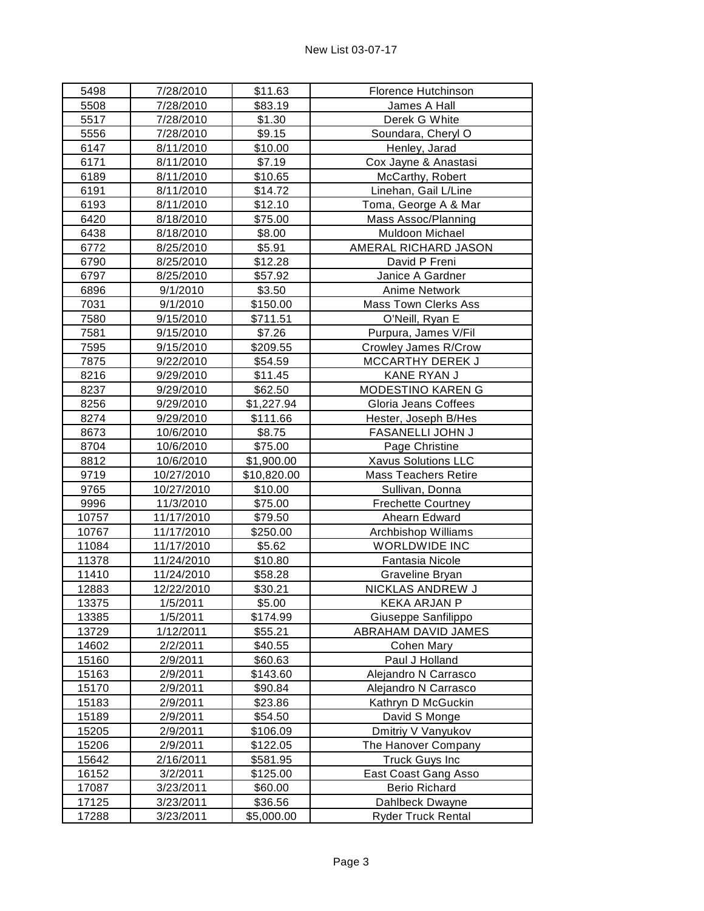| 5498  | 7/28/2010  | \$11.63     | Florence Hutchinson         |
|-------|------------|-------------|-----------------------------|
| 5508  | 7/28/2010  | \$83.19     | James A Hall                |
| 5517  | 7/28/2010  | \$1.30      | Derek G White               |
| 5556  | 7/28/2010  | \$9.15      | Soundara, Cheryl O          |
| 6147  | 8/11/2010  | \$10.00     | Henley, Jarad               |
| 6171  | 8/11/2010  | \$7.19      | Cox Jayne & Anastasi        |
| 6189  | 8/11/2010  | \$10.65     | McCarthy, Robert            |
| 6191  | 8/11/2010  | \$14.72     | Linehan, Gail L/Line        |
| 6193  | 8/11/2010  | \$12.10     | Toma, George A & Mar        |
| 6420  | 8/18/2010  | \$75.00     | Mass Assoc/Planning         |
| 6438  | 8/18/2010  | \$8.00      | Muldoon Michael             |
| 6772  | 8/25/2010  | \$5.91      | AMERAL RICHARD JASON        |
| 6790  | 8/25/2010  | \$12.28     | David P Freni               |
| 6797  | 8/25/2010  | \$57.92     | Janice A Gardner            |
| 6896  | 9/1/2010   | \$3.50      | Anime Network               |
| 7031  | 9/1/2010   | \$150.00    | <b>Mass Town Clerks Ass</b> |
| 7580  | 9/15/2010  | \$711.51    | O'Neill, Ryan E             |
| 7581  | 9/15/2010  | \$7.26      | Purpura, James V/Fil        |
| 7595  | 9/15/2010  | \$209.55    | Crowley James R/Crow        |
| 7875  | 9/22/2010  | \$54.59     | <b>MCCARTHY DEREK J</b>     |
| 8216  | 9/29/2010  | \$11.45     | KANE RYAN J                 |
| 8237  | 9/29/2010  | \$62.50     | MODESTINO KAREN G           |
| 8256  | 9/29/2010  | \$1,227.94  | Gloria Jeans Coffees        |
| 8274  | 9/29/2010  | \$111.66    | Hester, Joseph B/Hes        |
| 8673  | 10/6/2010  | \$8.75      | FASANELLI JOHN J            |
| 8704  | 10/6/2010  | \$75.00     | Page Christine              |
| 8812  | 10/6/2010  | \$1,900.00  | Xavus Solutions LLC         |
| 9719  | 10/27/2010 | \$10,820.00 | <b>Mass Teachers Retire</b> |
| 9765  | 10/27/2010 | \$10.00     | Sullivan, Donna             |
| 9996  | 11/3/2010  | \$75.00     | <b>Frechette Courtney</b>   |
| 10757 | 11/17/2010 | \$79.50     | Ahearn Edward               |
| 10767 | 11/17/2010 | \$250.00    | Archbishop Williams         |
| 11084 | 11/17/2010 | \$5.62      | <b>WORLDWIDE INC</b>        |
| 11378 | 11/24/2010 | \$10.80     | <b>Fantasia Nicole</b>      |
| 11410 | 11/24/2010 | \$58.28     | Graveline Bryan             |
| 12883 | 12/22/2010 | \$30.21     | NICKLAS ANDREW J            |
| 13375 | 1/5/2011   | \$5.00      | <b>KEKA ARJAN P</b>         |
| 13385 | 1/5/2011   | \$174.99    | Giuseppe Sanfilippo         |
| 13729 | 1/12/2011  | \$55.21     | ABRAHAM DAVID JAMES         |
| 14602 | 2/2/2011   | \$40.55     | Cohen Mary                  |
| 15160 | 2/9/2011   | \$60.63     | Paul J Holland              |
| 15163 | 2/9/2011   | \$143.60    | Alejandro N Carrasco        |
| 15170 | 2/9/2011   | \$90.84     | Alejandro N Carrasco        |
| 15183 | 2/9/2011   | \$23.86     | Kathryn D McGuckin          |
| 15189 | 2/9/2011   | \$54.50     | David S Monge               |
| 15205 | 2/9/2011   | \$106.09    | Dmitriy V Vanyukov          |
| 15206 | 2/9/2011   | \$122.05    | The Hanover Company         |
| 15642 | 2/16/2011  | \$581.95    | <b>Truck Guys Inc</b>       |
| 16152 | 3/2/2011   | \$125.00    | East Coast Gang Asso        |
| 17087 | 3/23/2011  | \$60.00     | <b>Berio Richard</b>        |
| 17125 | 3/23/2011  | \$36.56     | Dahlbeck Dwayne             |
| 17288 | 3/23/2011  | \$5,000.00  | <b>Ryder Truck Rental</b>   |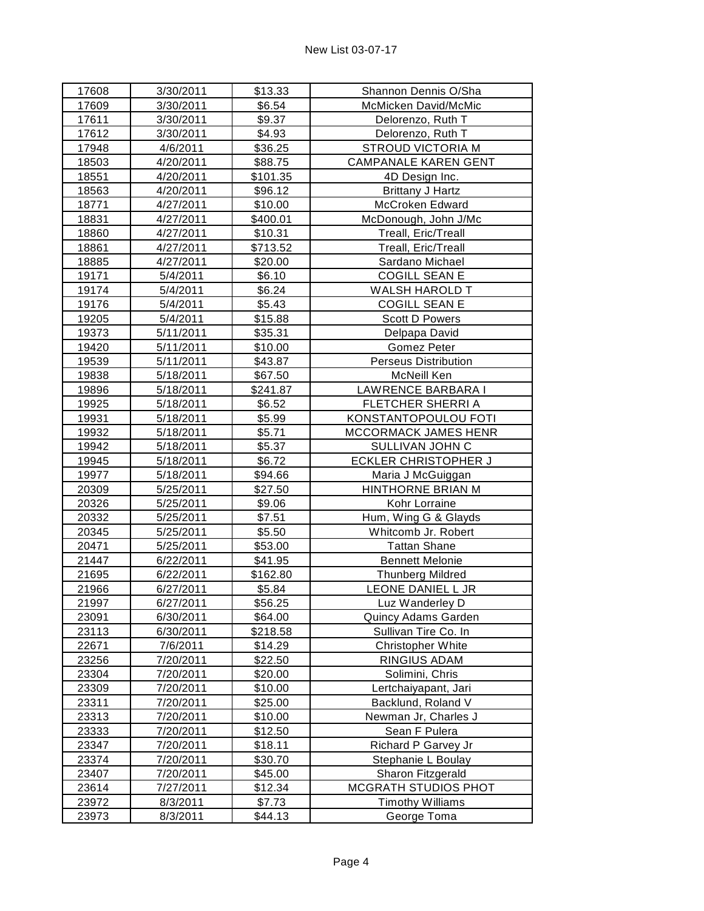| 17608 | 3/30/2011 | \$13.33  | Shannon Dennis O/Sha        |
|-------|-----------|----------|-----------------------------|
| 17609 | 3/30/2011 | \$6.54   | McMicken David/McMic        |
| 17611 | 3/30/2011 | \$9.37   | Delorenzo, Ruth T           |
| 17612 | 3/30/2011 | \$4.93   | Delorenzo, Ruth T           |
| 17948 | 4/6/2011  | \$36.25  | <b>STROUD VICTORIA M</b>    |
| 18503 | 4/20/2011 | \$88.75  | <b>CAMPANALE KAREN GENT</b> |
| 18551 | 4/20/2011 | \$101.35 | 4D Design Inc.              |
| 18563 | 4/20/2011 | \$96.12  | <b>Brittany J Hartz</b>     |
| 18771 | 4/27/2011 | \$10.00  | McCroken Edward             |
| 18831 | 4/27/2011 | \$400.01 | McDonough, John J/Mc        |
| 18860 | 4/27/2011 | \$10.31  | Treall, Eric/Treall         |
| 18861 | 4/27/2011 | \$713.52 | Treall, Eric/Treall         |
| 18885 | 4/27/2011 | \$20.00  | Sardano Michael             |
| 19171 | 5/4/2011  | \$6.10   | <b>COGILL SEAN E</b>        |
| 19174 | 5/4/2011  | \$6.24   | <b>WALSH HAROLD T</b>       |
| 19176 | 5/4/2011  | \$5.43   | <b>COGILL SEAN E</b>        |
| 19205 | 5/4/2011  | \$15.88  | <b>Scott D Powers</b>       |
| 19373 | 5/11/2011 | \$35.31  | Delpapa David               |
| 19420 | 5/11/2011 | \$10.00  | Gomez Peter                 |
| 19539 | 5/11/2011 | \$43.87  | <b>Perseus Distribution</b> |
| 19838 | 5/18/2011 | \$67.50  | McNeill Ken                 |
| 19896 | 5/18/2011 | \$241.87 | LAWRENCE BARBARA I          |
| 19925 | 5/18/2011 | \$6.52   | FLETCHER SHERRI A           |
| 19931 | 5/18/2011 | \$5.99   | KONSTANTOPOULOU FOTI        |
| 19932 | 5/18/2011 | \$5.71   | MCCORMACK JAMES HENR        |
| 19942 | 5/18/2011 | \$5.37   | SULLIVAN JOHN C             |
| 19945 | 5/18/2011 | \$6.72   | <b>ECKLER CHRISTOPHER J</b> |
| 19977 | 5/18/2011 | \$94.66  | Maria J McGuiggan           |
| 20309 | 5/25/2011 | \$27.50  | HINTHORNE BRIAN M           |
| 20326 | 5/25/2011 | \$9.06   | Kohr Lorraine               |
| 20332 | 5/25/2011 | \$7.51   | Hum, Wing G & Glayds        |
| 20345 | 5/25/2011 | \$5.50   | Whitcomb Jr. Robert         |
| 20471 | 5/25/2011 | \$53.00  | <b>Tattan Shane</b>         |
| 21447 | 6/22/2011 | \$41.95  | <b>Bennett Melonie</b>      |
| 21695 | 6/22/2011 | \$162.80 | <b>Thunberg Mildred</b>     |
| 21966 | 6/27/2011 | \$5.84   | LEONE DANIEL L JR           |
| 21997 | 6/27/2011 | \$56.25  | Luz Wanderley D             |
| 23091 | 6/30/2011 | \$64.00  | <b>Quincy Adams Garden</b>  |
| 23113 | 6/30/2011 | \$218.58 | Sullivan Tire Co. In        |
| 22671 | 7/6/2011  | \$14.29  | Christopher White           |
| 23256 | 7/20/2011 | \$22.50  | RINGIUS ADAM                |
| 23304 | 7/20/2011 | \$20.00  | Solimini, Chris             |
| 23309 | 7/20/2011 | \$10.00  | Lertchaiyapant, Jari        |
| 23311 | 7/20/2011 | \$25.00  | Backlund, Roland V          |
| 23313 | 7/20/2011 | \$10.00  | Newman Jr, Charles J        |
| 23333 | 7/20/2011 | \$12.50  | Sean F Pulera               |
| 23347 | 7/20/2011 | \$18.11  | Richard P Garvey Jr         |
| 23374 | 7/20/2011 | \$30.70  | Stephanie L Boulay          |
| 23407 | 7/20/2011 | \$45.00  | Sharon Fitzgerald           |
| 23614 | 7/27/2011 | \$12.34  | <b>MCGRATH STUDIOS PHOT</b> |
| 23972 | 8/3/2011  | \$7.73   | <b>Timothy Williams</b>     |
| 23973 | 8/3/2011  | \$44.13  | George Toma                 |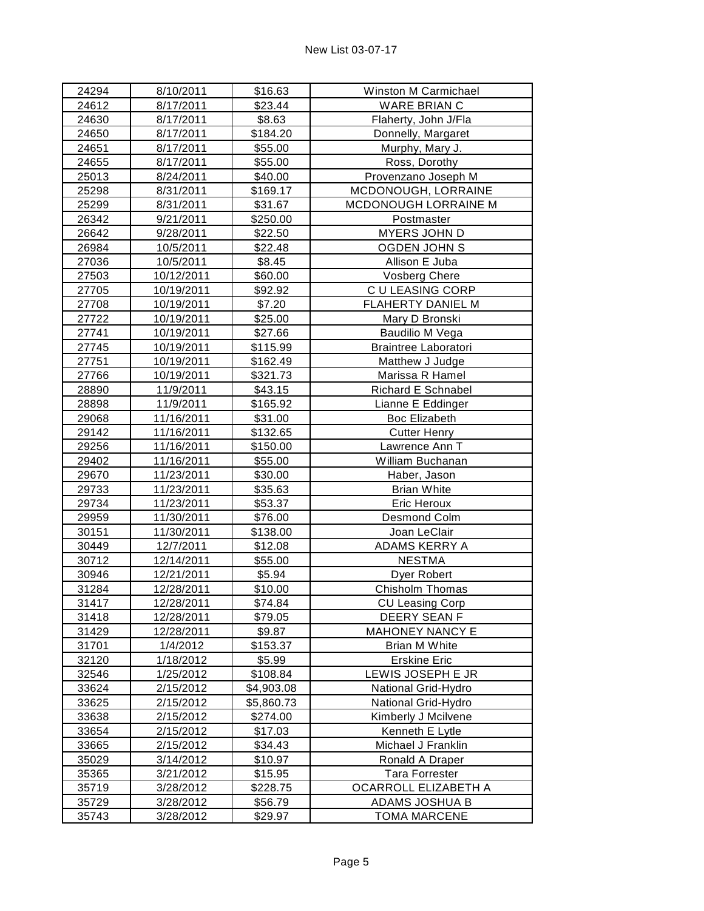| 24294 | 8/10/2011  | \$16.63    | Winston M Carmichael   |
|-------|------------|------------|------------------------|
| 24612 | 8/17/2011  | \$23.44    | <b>WARE BRIAN C</b>    |
| 24630 | 8/17/2011  | \$8.63     | Flaherty, John J/Fla   |
| 24650 | 8/17/2011  | \$184.20   | Donnelly, Margaret     |
| 24651 | 8/17/2011  | \$55.00    | Murphy, Mary J.        |
| 24655 | 8/17/2011  | \$55.00    | Ross, Dorothy          |
| 25013 | 8/24/2011  | \$40.00    | Provenzano Joseph M    |
| 25298 | 8/31/2011  | \$169.17   | MCDONOUGH, LORRAINE    |
| 25299 | 8/31/2011  | \$31.67    | MCDONOUGH LORRAINE M   |
| 26342 | 9/21/2011  | \$250.00   | Postmaster             |
| 26642 | 9/28/2011  | \$22.50    | MYERS JOHN D           |
| 26984 | 10/5/2011  | \$22.48    | <b>OGDEN JOHN S</b>    |
| 27036 | 10/5/2011  | \$8.45     | Allison E Juba         |
| 27503 | 10/12/2011 | \$60.00    | <b>Vosberg Chere</b>   |
| 27705 | 10/19/2011 | \$92.92    | C U LEASING CORP       |
| 27708 | 10/19/2011 | \$7.20     | FLAHERTY DANIEL M      |
| 27722 | 10/19/2011 | \$25.00    | Mary D Bronski         |
| 27741 | 10/19/2011 | \$27.66    | Baudilio M Vega        |
| 27745 | 10/19/2011 | \$115.99   | Braintree Laboratori   |
| 27751 | 10/19/2011 | \$162.49   | Matthew J Judge        |
| 27766 | 10/19/2011 | \$321.73   | Marissa R Hamel        |
| 28890 | 11/9/2011  | \$43.15    | Richard E Schnabel     |
| 28898 | 11/9/2011  | \$165.92   | Lianne E Eddinger      |
| 29068 | 11/16/2011 | \$31.00    | <b>Boc Elizabeth</b>   |
| 29142 | 11/16/2011 | \$132.65   | <b>Cutter Henry</b>    |
| 29256 | 11/16/2011 | \$150.00   | Lawrence Ann T         |
| 29402 | 11/16/2011 | \$55.00    | William Buchanan       |
| 29670 | 11/23/2011 | \$30.00    | Haber, Jason           |
| 29733 | 11/23/2011 | \$35.63    | <b>Brian White</b>     |
| 29734 | 11/23/2011 | \$53.37    | Eric Heroux            |
| 29959 | 11/30/2011 | \$76.00    | Desmond Colm           |
| 30151 | 11/30/2011 | \$138.00   | Joan LeClair           |
| 30449 | 12/7/2011  | \$12.08    | ADAMS KERRY A          |
| 30712 | 12/14/2011 | \$55.00    | <b>NESTMA</b>          |
| 30946 | 12/21/2011 | \$5.94     | Dyer Robert            |
| 31284 | 12/28/2011 | \$10.00    | Chisholm Thomas        |
| 31417 | 12/28/2011 | \$74.84    | <b>CU Leasing Corp</b> |
| 31418 | 12/28/2011 | \$79.05    | DEERY SEAN F           |
| 31429 | 12/28/2011 | \$9.87     | <b>MAHONEY NANCY E</b> |
| 31701 | 1/4/2012   | \$153.37   | <b>Brian M White</b>   |
| 32120 | 1/18/2012  | \$5.99     | <b>Erskine Eric</b>    |
| 32546 | 1/25/2012  | \$108.84   | LEWIS JOSEPH E JR      |
| 33624 | 2/15/2012  | \$4,903.08 | National Grid-Hydro    |
| 33625 | 2/15/2012  | \$5,860.73 | National Grid-Hydro    |
| 33638 | 2/15/2012  | \$274.00   | Kimberly J Mcilvene    |
| 33654 | 2/15/2012  | \$17.03    | Kenneth E Lytle        |
| 33665 | 2/15/2012  | \$34.43    | Michael J Franklin     |
| 35029 | 3/14/2012  | \$10.97    | Ronald A Draper        |
| 35365 | 3/21/2012  | \$15.95    | <b>Tara Forrester</b>  |
| 35719 | 3/28/2012  | \$228.75   | OCARROLL ELIZABETH A   |
| 35729 | 3/28/2012  | \$56.79    | ADAMS JOSHUA B         |
| 35743 | 3/28/2012  | \$29.97    | <b>TOMA MARCENE</b>    |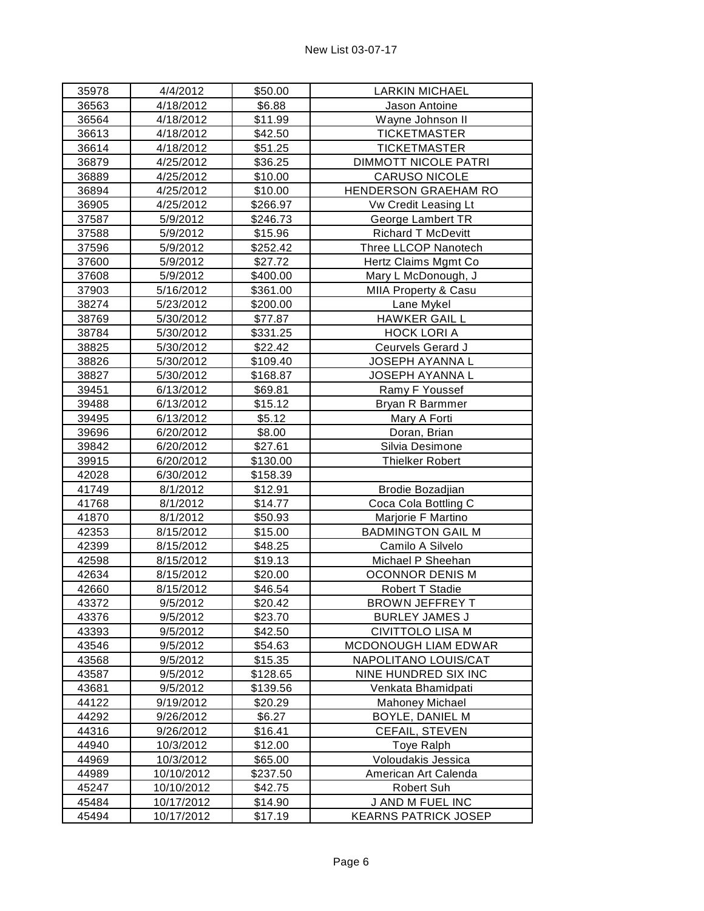| 35978          | 4/4/2012                 | \$50.00            | <b>LARKIN MICHAEL</b>                           |
|----------------|--------------------------|--------------------|-------------------------------------------------|
| 36563          | 4/18/2012                | \$6.88             | Jason Antoine                                   |
| 36564          | 4/18/2012                | \$11.99            | Wayne Johnson II                                |
| 36613          | 4/18/2012                | \$42.50            | <b>TICKETMASTER</b>                             |
| 36614          | 4/18/2012                | \$51.25            | <b>TICKETMASTER</b>                             |
| 36879          | 4/25/2012                | \$36.25            | <b>DIMMOTT NICOLE PATRI</b>                     |
| 36889          | 4/25/2012                | \$10.00            | CARUSO NICOLE                                   |
| 36894          | 4/25/2012                | \$10.00            | HENDERSON GRAEHAM RO                            |
| 36905          | 4/25/2012                | \$266.97           | Vw Credit Leasing Lt                            |
| 37587          | 5/9/2012                 | \$246.73           | George Lambert TR                               |
| 37588          | 5/9/2012                 | \$15.96            | Richard T McDevitt                              |
| 37596          | 5/9/2012                 | \$252.42           | Three LLCOP Nanotech                            |
| 37600          | 5/9/2012                 | \$27.72            | Hertz Claims Mgmt Co                            |
| 37608          | 5/9/2012                 | \$400.00           | Mary L McDonough, J                             |
| 37903          | 5/16/2012                | \$361.00           | MIIA Property & Casu                            |
| 38274          | 5/23/2012                | \$200.00           | Lane Mykel                                      |
| 38769          | 5/30/2012                | \$77.87            | <b>HAWKER GAIL L</b>                            |
| 38784          | 5/30/2012                | \$331.25           | <b>HOCK LORIA</b>                               |
| 38825          | 5/30/2012                | \$22.42            | Ceurvels Gerard J                               |
| 38826          | 5/30/2012                | \$109.40           | JOSEPH AYANNA L                                 |
| 38827          | 5/30/2012                | \$168.87           | JOSEPH AYANNA L                                 |
| 39451          | 6/13/2012                | \$69.81            | Ramy F Youssef                                  |
| 39488          | 6/13/2012                | \$15.12            | Bryan R Barmmer                                 |
| 39495          | 6/13/2012                | \$5.12             | Mary A Forti                                    |
| 39696          | 6/20/2012                | \$8.00             | Doran, Brian                                    |
| 39842          | 6/20/2012                | \$27.61            | Silvia Desimone                                 |
| 39915          | 6/20/2012                | \$130.00           | Thielker Robert                                 |
| 42028          | 6/30/2012                | \$158.39           |                                                 |
| 41749          | 8/1/2012                 | \$12.91            | Brodie Bozadjian                                |
| 41768          | 8/1/2012                 | \$14.77            | Coca Cola Bottling C                            |
| 41870          | 8/1/2012                 | \$50.93            | Marjorie F Martino                              |
| 42353          | 8/15/2012                | \$15.00            | <b>BADMINGTON GAIL M</b>                        |
| 42399          | 8/15/2012                | \$48.25            | Camilo A Silvelo                                |
| 42598          | 8/15/2012                | \$19.13            | Michael P Sheehan                               |
| 42634          | 8/15/2012                | \$20.00            | <b>OCONNOR DENIS M</b>                          |
| 42660          | 8/15/2012                | \$46.54            | Robert T Stadie                                 |
| 43372          | 9/5/2012                 | \$20.42            | BROWN JEFFREY T                                 |
| 43376          | 9/5/2012                 | \$23.70            | BURLEY JAMES J                                  |
| 43393          | 9/5/2012                 | \$42.50            | CIVITTOLO LISA M                                |
| 43546          | 9/5/2012                 | \$54.63            | MCDONOUGH LIAM EDWAR                            |
| 43568          | 9/5/2012                 | \$15.35            | NAPOLITANO LOUIS/CAT                            |
| 43587          | 9/5/2012                 | \$128.65           | NINE HUNDRED SIX INC                            |
| 43681          | 9/5/2012                 | \$139.56           | Venkata Bhamidpati                              |
| 44122          | 9/19/2012                | \$20.29            | Mahoney Michael                                 |
| 44292          | 9/26/2012                | \$6.27             | <b>BOYLE, DANIEL M</b>                          |
| 44316          | 9/26/2012                | \$16.41            | CEFAIL, STEVEN                                  |
| 44940          | 10/3/2012                | \$12.00            | <b>Toye Ralph</b>                               |
| 44969          | 10/3/2012                | \$65.00            | Voloudakis Jessica                              |
| 44989          | 10/10/2012               | \$237.50           | American Art Calenda                            |
| 45247          |                          |                    |                                                 |
|                | 10/10/2012               | \$42.75            | Robert Suh                                      |
| 45484<br>45494 | 10/17/2012<br>10/17/2012 | \$14.90<br>\$17.19 | J AND M FUEL INC<br><b>KEARNS PATRICK JOSEP</b> |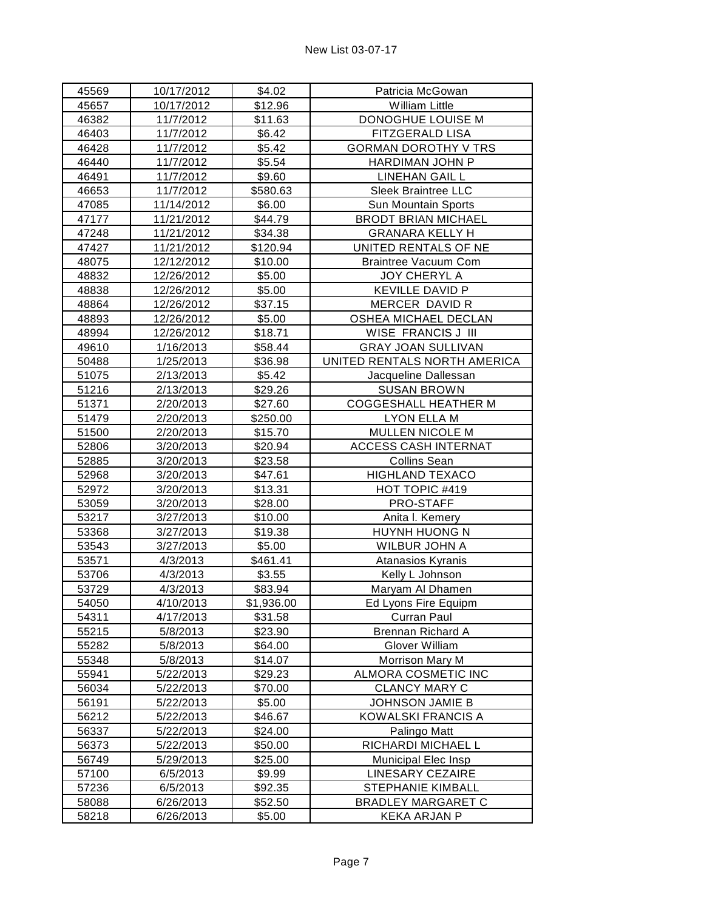| 45569 | 10/17/2012 | \$4.02     | Patricia McGowan             |
|-------|------------|------------|------------------------------|
| 45657 | 10/17/2012 | \$12.96    | <b>William Little</b>        |
| 46382 | 11/7/2012  | \$11.63    | DONOGHUE LOUISE M            |
| 46403 | 11/7/2012  | \$6.42     | FITZGERALD LISA              |
| 46428 | 11/7/2012  | \$5.42     | <b>GORMAN DOROTHY V TRS</b>  |
| 46440 | 11/7/2012  | \$5.54     | HARDIMAN JOHN P              |
| 46491 | 11/7/2012  | \$9.60     | <b>LINEHAN GAIL L</b>        |
| 46653 | 11/7/2012  | \$580.63   | Sleek Braintree LLC          |
| 47085 | 11/14/2012 | \$6.00     | Sun Mountain Sports          |
| 47177 | 11/21/2012 | \$44.79    | <b>BRODT BRIAN MICHAEL</b>   |
| 47248 | 11/21/2012 | \$34.38    | <b>GRANARA KELLY H</b>       |
| 47427 | 11/21/2012 | \$120.94   | UNITED RENTALS OF NE         |
| 48075 | 12/12/2012 | \$10.00    | <b>Braintree Vacuum Com</b>  |
| 48832 | 12/26/2012 | \$5.00     | JOY CHERYL A                 |
| 48838 | 12/26/2012 | \$5.00     | <b>KEVILLE DAVID P</b>       |
| 48864 | 12/26/2012 | \$37.15    | MERCER DAVID R               |
| 48893 | 12/26/2012 | \$5.00     | OSHEA MICHAEL DECLAN         |
| 48994 | 12/26/2012 | \$18.71    | WISE FRANCIS J III           |
| 49610 | 1/16/2013  | \$58.44    | <b>GRAY JOAN SULLIVAN</b>    |
| 50488 | 1/25/2013  | \$36.98    | UNITED RENTALS NORTH AMERICA |
| 51075 | 2/13/2013  | \$5.42     | Jacqueline Dallessan         |
| 51216 | 2/13/2013  | \$29.26    | <b>SUSAN BROWN</b>           |
| 51371 | 2/20/2013  | \$27.60    | <b>COGGESHALL HEATHER M</b>  |
| 51479 | 2/20/2013  | \$250.00   | <b>LYON ELLA M</b>           |
| 51500 | 2/20/2013  | \$15.70    | MULLEN NICOLE M              |
| 52806 | 3/20/2013  | \$20.94    | <b>ACCESS CASH INTERNAT</b>  |
| 52885 | 3/20/2013  | \$23.58    | <b>Collins Sean</b>          |
| 52968 | 3/20/2013  | \$47.61    | <b>HIGHLAND TEXACO</b>       |
| 52972 | 3/20/2013  | \$13.31    | HOT TOPIC #419               |
| 53059 | 3/20/2013  | \$28.00    | PRO-STAFF                    |
| 53217 | 3/27/2013  | \$10.00    | Anita I. Kemery              |
| 53368 | 3/27/2013  | \$19.38    | HUYNH HUONG N                |
| 53543 | 3/27/2013  | \$5.00     | WILBUR JOHN A                |
| 53571 | 4/3/2013   | \$461.41   | Atanasios Kyranis            |
| 53706 | 4/3/2013   | \$3.55     | Kelly L Johnson              |
| 53729 | 4/3/2013   | \$83.94    | Maryam Al Dhamen             |
| 54050 | 4/10/2013  | \$1,936.00 | Ed Lyons Fire Equipm         |
| 54311 | 4/17/2013  | \$31.58    | Curran Paul                  |
| 55215 | 5/8/2013   | \$23.90    | Brennan Richard A            |
| 55282 | 5/8/2013   | \$64.00    | Glover William               |
| 55348 | 5/8/2013   | \$14.07    | Morrison Mary M              |
| 55941 | 5/22/2013  | \$29.23    | ALMORA COSMETIC INC          |
| 56034 | 5/22/2013  | \$70.00    | <b>CLANCY MARY C</b>         |
| 56191 | 5/22/2013  | \$5.00     | JOHNSON JAMIE B              |
| 56212 | 5/22/2013  | \$46.67    | <b>KOWALSKI FRANCIS A</b>    |
| 56337 | 5/22/2013  | \$24.00    | Palingo Matt                 |
| 56373 | 5/22/2013  | \$50.00    | RICHARDI MICHAEL L           |
| 56749 | 5/29/2013  | \$25.00    | Municipal Elec Insp          |
| 57100 | 6/5/2013   | \$9.99     | <b>LINESARY CEZAIRE</b>      |
| 57236 | 6/5/2013   | \$92.35    | STEPHANIE KIMBALL            |
| 58088 | 6/26/2013  | \$52.50    | <b>BRADLEY MARGARET C</b>    |
| 58218 | 6/26/2013  | \$5.00     | <b>KEKA ARJAN P</b>          |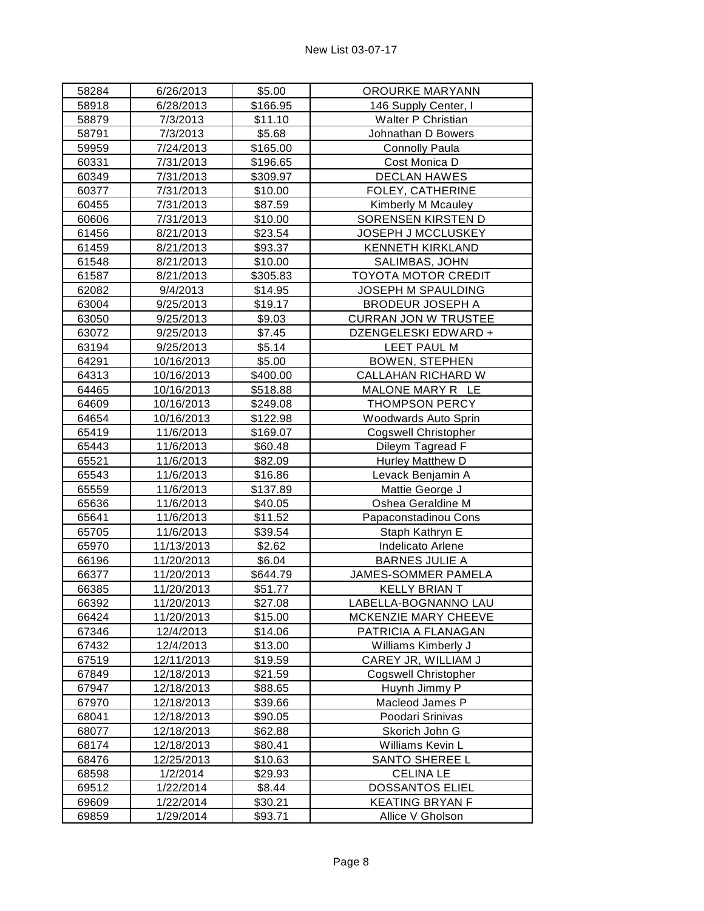| 58284 | 6/26/2013  | \$5.00   | OROURKE MARYANN             |
|-------|------------|----------|-----------------------------|
| 58918 | 6/28/2013  | \$166.95 | 146 Supply Center, I        |
| 58879 | 7/3/2013   | \$11.10  | Walter P Christian          |
| 58791 | 7/3/2013   | \$5.68   | Johnathan D Bowers          |
| 59959 | 7/24/2013  | \$165.00 | <b>Connolly Paula</b>       |
| 60331 | 7/31/2013  | \$196.65 | Cost Monica D               |
| 60349 | 7/31/2013  | \$309.97 | <b>DECLAN HAWES</b>         |
| 60377 | 7/31/2013  | \$10.00  | FOLEY, CATHERINE            |
| 60455 | 7/31/2013  | \$87.59  | Kimberly M Mcauley          |
| 60606 | 7/31/2013  | \$10.00  | SORENSEN KIRSTEN D          |
| 61456 | 8/21/2013  | \$23.54  | JOSEPH J MCCLUSKEY          |
| 61459 | 8/21/2013  | \$93.37  | <b>KENNETH KIRKLAND</b>     |
| 61548 | 8/21/2013  | \$10.00  | SALIMBAS, JOHN              |
| 61587 | 8/21/2013  | \$305.83 | <b>TOYOTA MOTOR CREDIT</b>  |
| 62082 | 9/4/2013   | \$14.95  | JOSEPH M SPAULDING          |
| 63004 | 9/25/2013  | \$19.17  | <b>BRODEUR JOSEPH A</b>     |
| 63050 | 9/25/2013  | \$9.03   | <b>CURRAN JON W TRUSTEE</b> |
| 63072 | 9/25/2013  | \$7.45   | DZENGELESKI EDWARD +        |
| 63194 | 9/25/2013  | \$5.14   | LEET PAUL M                 |
| 64291 | 10/16/2013 | \$5.00   | <b>BOWEN, STEPHEN</b>       |
| 64313 | 10/16/2013 | \$400.00 | CALLAHAN RICHARD W          |
| 64465 | 10/16/2013 | \$518.88 | MALONE MARY R LE            |
| 64609 | 10/16/2013 | \$249.08 | <b>THOMPSON PERCY</b>       |
| 64654 | 10/16/2013 | \$122.98 | Woodwards Auto Sprin        |
| 65419 | 11/6/2013  | \$169.07 | <b>Cogswell Christopher</b> |
| 65443 | 11/6/2013  | \$60.48  | Dileym Tagread F            |
| 65521 | 11/6/2013  | \$82.09  | Hurley Matthew D            |
| 65543 | 11/6/2013  | \$16.86  | Levack Benjamin A           |
| 65559 | 11/6/2013  | \$137.89 | Mattie George J             |
| 65636 | 11/6/2013  | \$40.05  | Oshea Geraldine M           |
| 65641 | 11/6/2013  | \$11.52  | Papaconstadinou Cons        |
| 65705 | 11/6/2013  | \$39.54  | Staph Kathryn E             |
| 65970 | 11/13/2013 | \$2.62   | Indelicato Arlene           |
| 66196 | 11/20/2013 | \$6.04   | <b>BARNES JULIE A</b>       |
| 66377 | 11/20/2013 | \$644.79 | JAMES-SOMMER PAMELA         |
| 66385 | 11/20/2013 | \$51.77  | <b>KELLY BRIAN T</b>        |
| 66392 | 11/20/2013 | \$27.08  | LABELLA-BOGNANNO LAU        |
| 66424 | 11/20/2013 | \$15.00  | MCKENZIE MARY CHEEVE        |
| 67346 | 12/4/2013  | \$14.06  | PATRICIA A FLANAGAN         |
| 67432 | 12/4/2013  | \$13.00  | Williams Kimberly J         |
| 67519 | 12/11/2013 | \$19.59  | CAREY JR, WILLIAM J         |
| 67849 | 12/18/2013 | \$21.59  | <b>Cogswell Christopher</b> |
| 67947 | 12/18/2013 | \$88.65  | Huynh Jimmy P               |
| 67970 | 12/18/2013 | \$39.66  | Macleod James P             |
| 68041 | 12/18/2013 | \$90.05  | Poodari Srinivas            |
| 68077 | 12/18/2013 | \$62.88  | Skorich John G              |
| 68174 | 12/18/2013 | \$80.41  | Williams Kevin L            |
| 68476 | 12/25/2013 | \$10.63  | <b>SANTO SHEREE L</b>       |
| 68598 | 1/2/2014   | \$29.93  | <b>CELINA LE</b>            |
| 69512 | 1/22/2014  | \$8.44   | <b>DOSSANTOS ELIEL</b>      |
| 69609 | 1/22/2014  | \$30.21  | <b>KEATING BRYAN F</b>      |
| 69859 | 1/29/2014  | \$93.71  | Allice V Gholson            |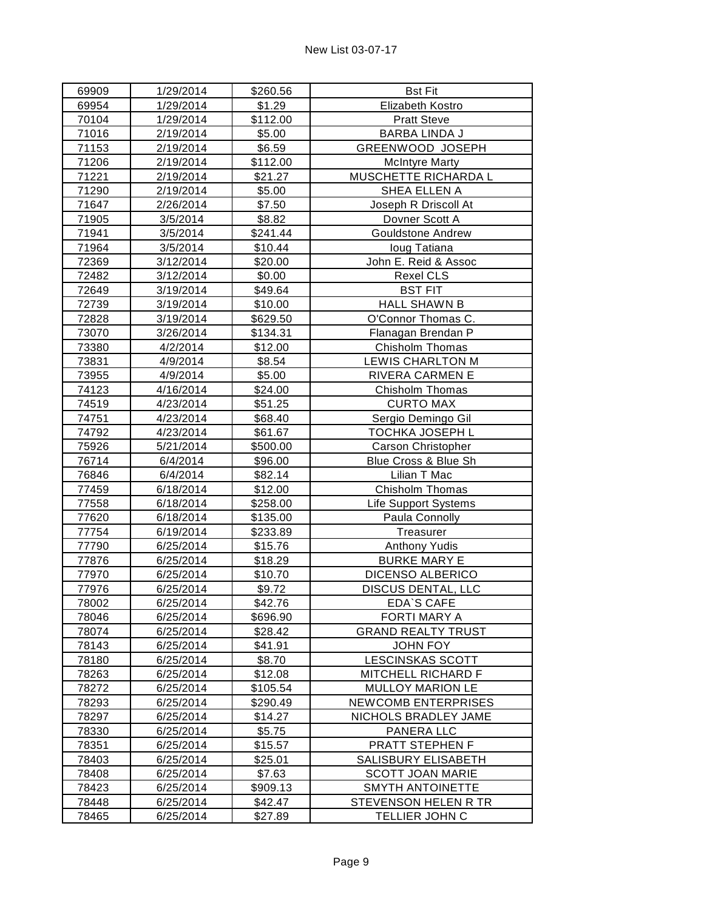| 69909 | 1/29/2014 | \$260.56 | <b>Bst Fit</b>              |
|-------|-----------|----------|-----------------------------|
| 69954 | 1/29/2014 | \$1.29   | Elizabeth Kostro            |
| 70104 | 1/29/2014 | \$112.00 | <b>Pratt Steve</b>          |
| 71016 | 2/19/2014 | \$5.00   | <b>BARBA LINDA J</b>        |
| 71153 | 2/19/2014 | \$6.59   | GREENWOOD JOSEPH            |
| 71206 | 2/19/2014 | \$112.00 | <b>McIntyre Marty</b>       |
| 71221 | 2/19/2014 | \$21.27  | MUSCHETTE RICHARDA L        |
| 71290 | 2/19/2014 | \$5.00   | SHEA ELLEN A                |
| 71647 | 2/26/2014 | \$7.50   | Joseph R Driscoll At        |
| 71905 | 3/5/2014  | \$8.82   | Dovner Scott A              |
| 71941 | 3/5/2014  | \$241.44 | <b>Gouldstone Andrew</b>    |
| 71964 | 3/5/2014  | \$10.44  | loug Tatiana                |
| 72369 | 3/12/2014 | \$20.00  | John E. Reid & Assoc        |
| 72482 | 3/12/2014 | \$0.00   | <b>Rexel CLS</b>            |
| 72649 | 3/19/2014 | \$49.64  | <b>BST FIT</b>              |
| 72739 | 3/19/2014 | \$10.00  | <b>HALL SHAWN B</b>         |
| 72828 | 3/19/2014 | \$629.50 | O'Connor Thomas C.          |
| 73070 | 3/26/2014 | \$134.31 | Flanagan Brendan P          |
| 73380 | 4/2/2014  | \$12.00  | Chisholm Thomas             |
| 73831 | 4/9/2014  | \$8.54   | LEWIS CHARLTON M            |
| 73955 | 4/9/2014  | \$5.00   | RIVERA CARMEN E             |
| 74123 | 4/16/2014 | \$24.00  | Chisholm Thomas             |
| 74519 | 4/23/2014 | \$51.25  | <b>CURTO MAX</b>            |
| 74751 | 4/23/2014 | \$68.40  | Sergio Demingo Gil          |
| 74792 | 4/23/2014 | \$61.67  | TOCHKA JOSEPH L             |
| 75926 | 5/21/2014 | \$500.00 | <b>Carson Christopher</b>   |
| 76714 | 6/4/2014  | \$96.00  | Blue Cross & Blue Sh        |
| 76846 | 6/4/2014  | \$82.14  | Lilian T Mac                |
| 77459 | 6/18/2014 | \$12.00  | Chisholm Thomas             |
| 77558 | 6/18/2014 | \$258.00 | <b>Life Support Systems</b> |
| 77620 | 6/18/2014 | \$135.00 | Paula Connolly              |
| 77754 | 6/19/2014 | \$233.89 | Treasurer                   |
| 77790 | 6/25/2014 | \$15.76  | <b>Anthony Yudis</b>        |
| 77876 | 6/25/2014 | \$18.29  | <b>BURKE MARY E</b>         |
| 77970 | 6/25/2014 | \$10.70  | DICENSO ALBERICO            |
| 77976 | 6/25/2014 | \$9.72   | DISCUS DENTAL, LLC          |
| 78002 | 6/25/2014 | \$42.76  | EDA S CAFE                  |
| 78046 | 6/25/2014 | \$696.90 | FORTI MARY A                |
| 78074 | 6/25/2014 | \$28.42  | <b>GRAND REALTY TRUST</b>   |
| 78143 | 6/25/2014 | \$41.91  | <b>JOHN FOY</b>             |
| 78180 | 6/25/2014 | \$8.70   | <b>LESCINSKAS SCOTT</b>     |
| 78263 | 6/25/2014 | \$12.08  | MITCHELL RICHARD F          |
| 78272 | 6/25/2014 | \$105.54 | <b>MULLOY MARION LE</b>     |
| 78293 | 6/25/2014 | \$290.49 | NEWCOMB ENTERPRISES         |
| 78297 | 6/25/2014 | \$14.27  | NICHOLS BRADLEY JAME        |
| 78330 | 6/25/2014 | \$5.75   | PANERA LLC                  |
| 78351 | 6/25/2014 | \$15.57  | PRATT STEPHEN F             |
| 78403 | 6/25/2014 | \$25.01  | SALISBURY ELISABETH         |
| 78408 | 6/25/2014 | \$7.63   | <b>SCOTT JOAN MARIE</b>     |
| 78423 | 6/25/2014 | \$909.13 | <b>SMYTH ANTOINETTE</b>     |
| 78448 | 6/25/2014 | \$42.47  | STEVENSON HELEN R TR        |
| 78465 | 6/25/2014 | \$27.89  | TELLIER JOHN C              |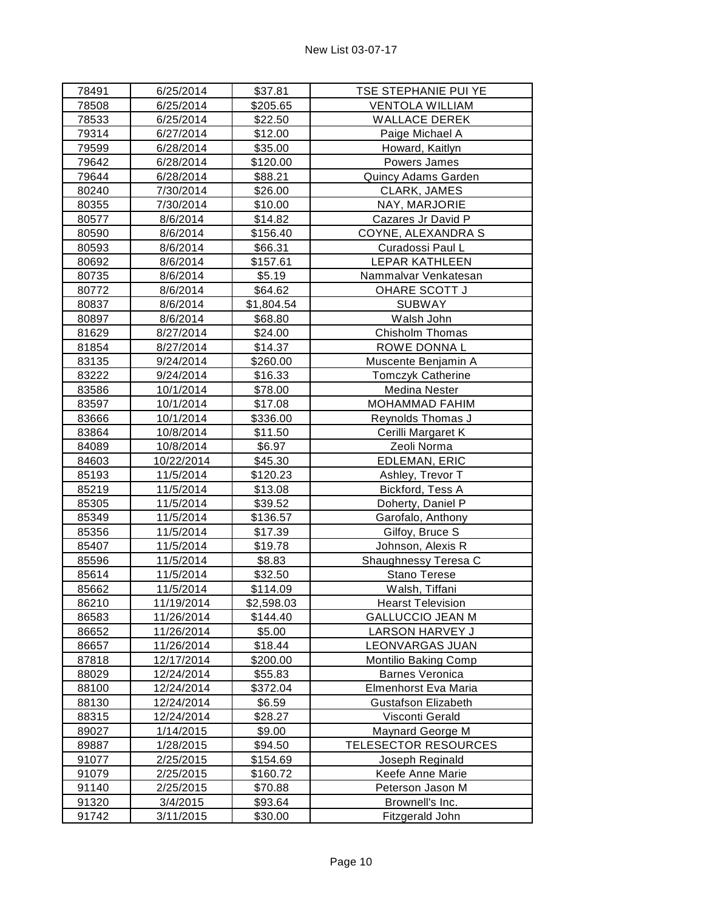| 78491 | 6/25/2014  | \$37.81    | TSE STEPHANIE PUI YE        |
|-------|------------|------------|-----------------------------|
| 78508 | 6/25/2014  | \$205.65   | <b>VENTOLA WILLIAM</b>      |
| 78533 | 6/25/2014  | \$22.50    | <b>WALLACE DEREK</b>        |
| 79314 | 6/27/2014  | \$12.00    | Paige Michael A             |
| 79599 | 6/28/2014  | \$35.00    | Howard, Kaitlyn             |
| 79642 | 6/28/2014  | \$120.00   | Powers James                |
| 79644 | 6/28/2014  | \$88.21    | Quincy Adams Garden         |
| 80240 | 7/30/2014  | \$26.00    | CLARK, JAMES                |
| 80355 | 7/30/2014  | \$10.00    | NAY, MARJORIE               |
| 80577 | 8/6/2014   | \$14.82    | Cazares Jr David P          |
| 80590 | 8/6/2014   | \$156.40   | COYNE, ALEXANDRA S          |
| 80593 | 8/6/2014   | \$66.31    | Curadossi Paul L            |
| 80692 | 8/6/2014   | \$157.61   | <b>LEPAR KATHLEEN</b>       |
| 80735 | 8/6/2014   | \$5.19     | Nammalvar Venkatesan        |
| 80772 | 8/6/2014   | \$64.62    | OHARE SCOTT J               |
| 80837 | 8/6/2014   | \$1,804.54 | <b>SUBWAY</b>               |
| 80897 | 8/6/2014   | \$68.80    | Walsh John                  |
| 81629 | 8/27/2014  | \$24.00    | Chisholm Thomas             |
| 81854 | 8/27/2014  | \$14.37    | ROWE DONNA L                |
| 83135 | 9/24/2014  | \$260.00   | Muscente Benjamin A         |
| 83222 | 9/24/2014  | \$16.33    | <b>Tomczyk Catherine</b>    |
| 83586 | 10/1/2014  | \$78.00    | Medina Nester               |
| 83597 | 10/1/2014  | \$17.08    | MOHAMMAD FAHIM              |
| 83666 | 10/1/2014  | \$336.00   | Reynolds Thomas J           |
| 83864 | 10/8/2014  | \$11.50    | Cerilli Margaret K          |
| 84089 | 10/8/2014  | \$6.97     | Zeoli Norma                 |
| 84603 | 10/22/2014 | \$45.30    | EDLEMAN, ERIC               |
| 85193 | 11/5/2014  | \$120.23   | Ashley, Trevor T            |
| 85219 | 11/5/2014  | \$13.08    | Bickford, Tess A            |
| 85305 | 11/5/2014  | \$39.52    | Doherty, Daniel P           |
| 85349 | 11/5/2014  | \$136.57   | Garofalo, Anthony           |
| 85356 | 11/5/2014  | \$17.39    | Gilfoy, Bruce S             |
| 85407 | 11/5/2014  | \$19.78    | Johnson, Alexis R           |
| 85596 | 11/5/2014  | \$8.83     | Shaughnessy Teresa C        |
| 85614 | 11/5/2014  | \$32.50    | <b>Stano Terese</b>         |
| 85662 | 11/5/2014  | \$114.09   | Walsh, Tiffani              |
| 86210 | 11/19/2014 | \$2,598.03 | <b>Hearst Television</b>    |
| 86583 | 11/26/2014 | \$144.40   | <b>GALLUCCIO JEAN M</b>     |
| 86652 | 11/26/2014 | \$5.00     | LARSON HARVEY J             |
| 86657 | 11/26/2014 | \$18.44    | LEONVARGAS JUAN             |
| 87818 | 12/17/2014 | \$200.00   | Montilio Baking Comp        |
| 88029 | 12/24/2014 | \$55.83    | <b>Barnes Veronica</b>      |
| 88100 | 12/24/2014 | \$372.04   | Elmenhorst Eva Maria        |
| 88130 | 12/24/2014 | \$6.59     | <b>Gustafson Elizabeth</b>  |
| 88315 | 12/24/2014 | \$28.27    | Visconti Gerald             |
| 89027 | 1/14/2015  | \$9.00     | Maynard George M            |
| 89887 | 1/28/2015  | \$94.50    | <b>TELESECTOR RESOURCES</b> |
| 91077 | 2/25/2015  | \$154.69   | Joseph Reginald             |
| 91079 | 2/25/2015  | \$160.72   | Keefe Anne Marie            |
| 91140 | 2/25/2015  | \$70.88    | Peterson Jason M            |
| 91320 | 3/4/2015   | \$93.64    | Brownell's Inc.             |
| 91742 | 3/11/2015  | \$30.00    | Fitzgerald John             |